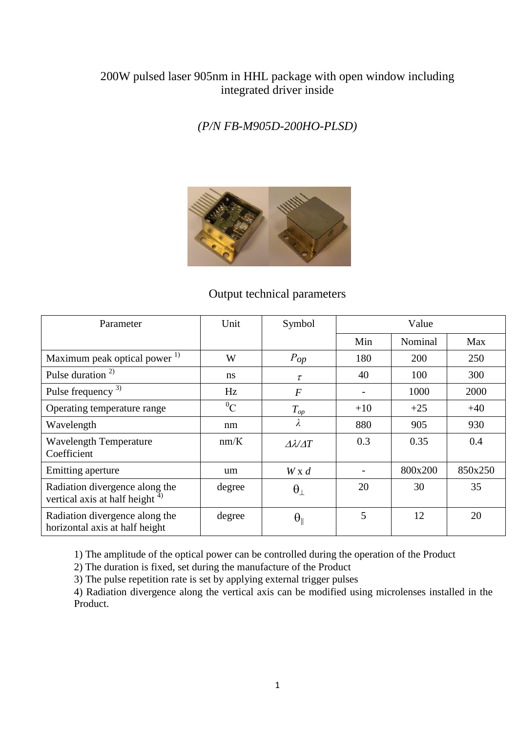## 200W pulsed laser 905nm in HHL package with open window including integrated driver inside

## *(P/N FB-M905D-200HO-PLSD)*



#### Output technical parameters

| Parameter                                                            | Unit          | Symbol                      | Value |         |         |
|----------------------------------------------------------------------|---------------|-----------------------------|-------|---------|---------|
|                                                                      |               |                             | Min   | Nominal | Max     |
| Maximum peak optical power <sup>1)</sup>                             | W             | $P_{op}$                    | 180   | 200     | 250     |
| Pulse duration <sup>2)</sup>                                         | <sub>ns</sub> | $\tau$                      | 40    | 100     | 300     |
| Pulse frequency <sup>3)</sup>                                        | Hz            | $\overline{F}$              |       | 1000    | 2000    |
| Operating temperature range                                          | ${}^{0}C$     | $T_{op}$                    | $+10$ | $+25$   | $+40$   |
| Wavelength                                                           | nm            | λ                           | 880   | 905     | 930     |
| <b>Wavelength Temperature</b><br>Coefficient                         | nm/K          | $\Delta \lambda / \Delta T$ | 0.3   | 0.35    | 0.4     |
| Emitting aperture                                                    | um            | $W \times d$                |       | 800x200 | 850x250 |
| Radiation divergence along the<br>vertical axis at half height $4$ ) | degree        | $\theta_{\perp}$            | 20    | 30      | 35      |
| Radiation divergence along the<br>horizontal axis at half height     | degree        | $\theta_{\parallel}$        | 5     | 12      | 20      |

1) The amplitude of the optical power can be controlled during the operation of the Product

2) The duration is fixed, set during the manufacture of the Product

3) The pulse repetition rate is set by applying external trigger pulses

4) Radiation divergence along the vertical axis can be modified using microlenses installed in the Product.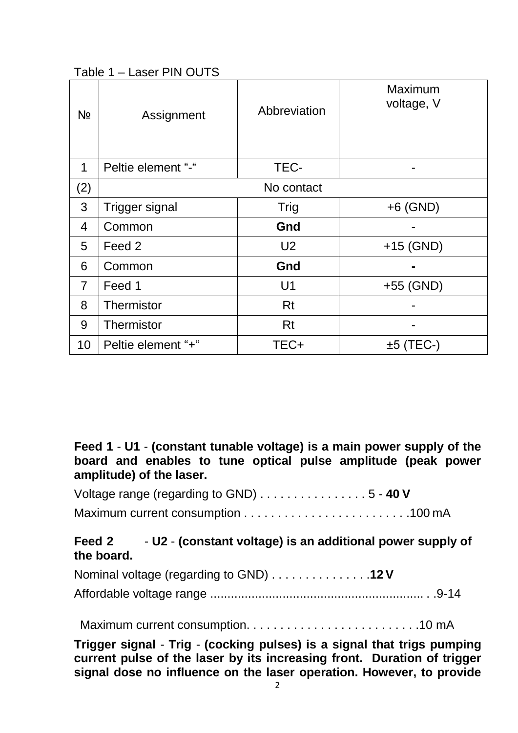Table 1 – Laser PIN OUTS

| Nº             | Assignment            | Abbreviation   | <b>Maximum</b><br>voltage, V |
|----------------|-----------------------|----------------|------------------------------|
| 1              | Peltie element "-"    | TEC-           |                              |
| (2)            |                       | No contact     |                              |
| 3              | <b>Trigger signal</b> | <b>Trig</b>    | $+6$ (GND)                   |
| 4              | Common                | Gnd            |                              |
| 5              | Feed 2                | U <sub>2</sub> | $+15$ (GND)                  |
| 6              | Common                | Gnd            |                              |
| $\overline{7}$ | Feed 1                | U <sub>1</sub> | $+55$ (GND)                  |
| 8              | Thermistor            | <b>Rt</b>      |                              |
| 9              | Thermistor            | Rt             |                              |
| 10             | Peltie element "+"    | TEC+           | $±5$ (TEC-)                  |

# **Feed 1** - **U1** - **(constant tunable voltage) is a main power supply of the board and enables to tune optical pulse amplitude (peak power amplitude) of the laser.**

| Voltage range (regarding to GND) 5 - 40 V |  |
|-------------------------------------------|--|
|                                           |  |

# **Feed 2** - **U2** - **(constant voltage) is an additional power supply of the board.**

| Nominal voltage (regarding to GND) 12 V |  |
|-----------------------------------------|--|
|                                         |  |

Maximum current consumption. . . . . . . . . . . . . . . . . . . . . . . . . .10 mA

**Trigger signal** - **Trig** - **(cocking pulses) is a signal that trigs pumping current pulse of the laser by its increasing front. Duration of trigger signal dose no influence on the laser operation. However, to provide**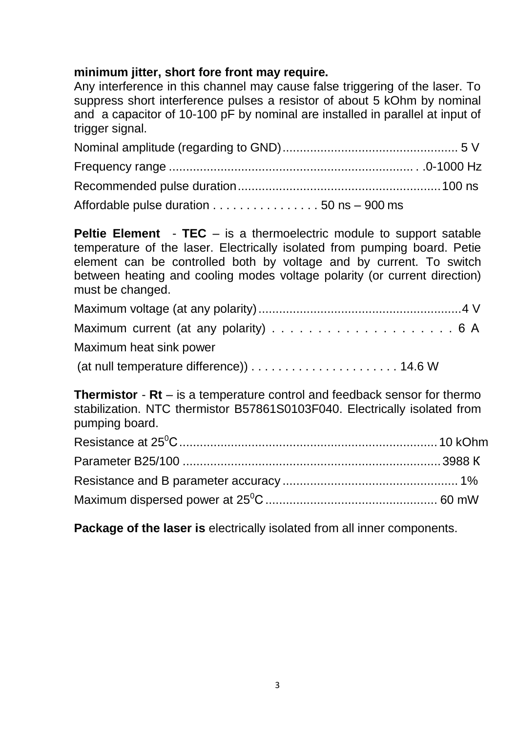# **minimum jitter, short fore front may require.**

Any interference in this channel may cause false triggering of the laser. To suppress short interference pulses a resistor of about 5 kOhm by nominal and a capacitor of 10-100 pF by nominal are installed in parallel at input of trigger signal.

| Affordable pulse duration 50 ns - 900 ms |  |
|------------------------------------------|--|

**Peltie Element** - **TEC** – is a thermoelectric module to support satable temperature of the laser. Electrically isolated from pumping board. Petie element can be controlled both by voltage and by current. To switch between heating and cooling modes voltage polarity (or current direction) must be changed.

| Maximum heat sink power                                                                           |  |
|---------------------------------------------------------------------------------------------------|--|
| (at null temperature difference) $\ldots \ldots \ldots \ldots \ldots \ldots \ldots \ldots$ 14.6 W |  |

**Thermistor** - **Rt** – is a temperature control and feedback sensor for thermo stabilization. NTC thermistor B57861S0103F040. Electrically isolated from pumping board.

**Package of the laser is** electrically isolated from all inner components.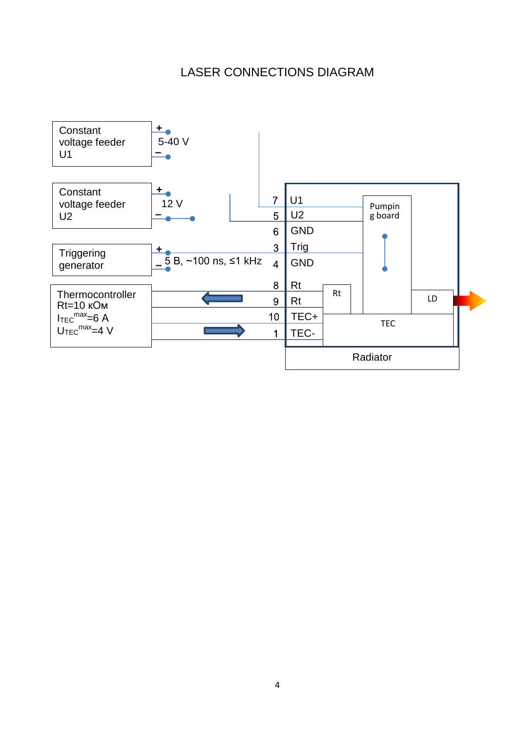# LASER CONNECTIONS DIAGRAM